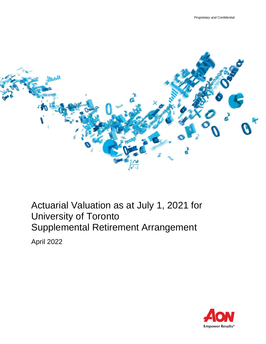

Actuarial Valuation as at July 1, 2021 for University of Toronto Supplemental Retirement Arrangement

April 2022

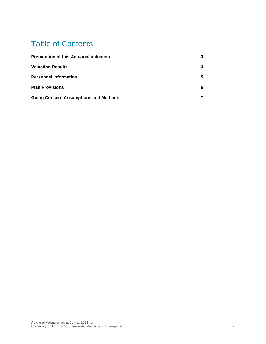# Table of Contents

| <b>Preparation of this Actuarial Valuation</b> | 3 |  |
|------------------------------------------------|---|--|
| <b>Valuation Results</b>                       | 3 |  |
| <b>Personnel Information</b>                   | 5 |  |
| <b>Plan Provisions</b>                         | 6 |  |
| <b>Going Concern Assumptions and Methods</b>   |   |  |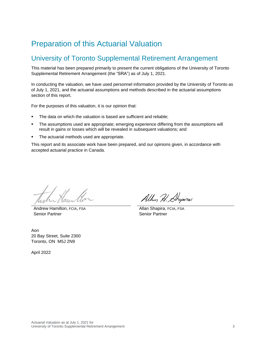## <span id="page-2-0"></span>Preparation of this Actuarial Valuation

### University of Toronto Supplemental Retirement Arrangement

This material has been prepared primarily to present the current obligations of the University of Toronto Supplemental Retirement Arrangement (the "SRA") as of July 1, 2021.

In conducting the valuation, we have used personnel information provided by the University of Toronto as of July 1, 2021, and the actuarial assumptions and methods described in the actuarial assumptions section of this report.

For the purposes of this valuation, it is our opinion that:

- The data on which the valuation is based are sufficient and reliable;
- The assumptions used are appropriate; emerging experience differing from the assumptions will result in gains or losses which will be revealed in subsequent valuations; and
- The actuarial methods used are appropriate.

<span id="page-2-1"></span>This report and its associate work have been prepared, and our opinions given, in accordance with accepted actuarial practice in Canada.

Andrew Hamilton, FCIA, FSA Senior Partner

Allan H. Angina

Allan Shapira, FCIA, FSA Senior Partner

Aon 20 Bay Street, Suite 2300 Toronto, ON M5J 2N9

April 2022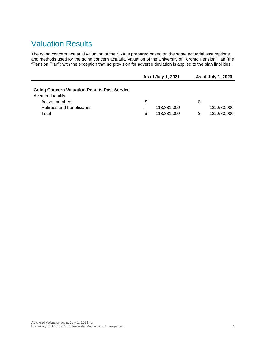### Valuation Results

The going concern actuarial valuation of the SRA is prepared based on the same actuarial assumptions and methods used for the going concern actuarial valuation of the University of Toronto Pension Plan (the "Pension Plan") with the exception that no provision for adverse deviation is applied to the plan liabilities.

|                                                                                 |    | As of July 1, 2021 |   | As of July 1, 2020 |
|---------------------------------------------------------------------------------|----|--------------------|---|--------------------|
| <b>Going Concern Valuation Results Past Service</b><br><b>Accrued Liability</b> |    |                    |   |                    |
| Active members                                                                  | \$ | ٠                  | S |                    |
| Retirees and beneficiaries                                                      |    | 118,881,000        |   | 122,683,000        |
| Total                                                                           | S  | 118.881.000        |   | 122.683.000        |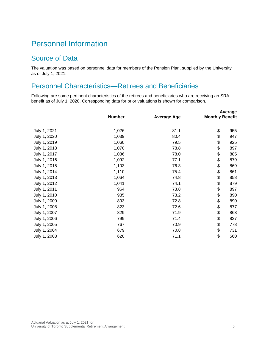## <span id="page-4-0"></span>Personnel Information

#### Source of Data

The valuation was based on personnel data for members of the Pension Plan, supplied by the University as of July 1, 2021.

### Personnel Characteristics—Retirees and Beneficiaries

Following are some pertinent characteristics of the retirees and beneficiaries who are receiving an SRA benefit as of July 1, 2020. Corresponding data for prior valuations is shown for comparison.

|              | <b>Number</b> | <b>Average Age</b> | <b>Monthly Benefit</b> | Average |
|--------------|---------------|--------------------|------------------------|---------|
|              |               |                    |                        |         |
| July 1, 2021 | 1,026         | 81.1               | \$                     | 955     |
| July 1, 2020 | 1,039         | 80.4               | \$                     | 947     |
| July 1, 2019 | 1,060         | 79.5               | \$                     | 925     |
| July 1, 2018 | 1,070         | 78.8               | \$                     | 897     |
| July 1, 2017 | 1,086         | 78.0               | \$                     | 885     |
| July 1, 2016 | 1,092         | 77.1               | \$                     | 879     |
| July 1, 2015 | 1,103         | 76.3               | \$                     | 869     |
| July 1, 2014 | 1,110         | 75.4               | \$                     | 861     |
| July 1, 2013 | 1,064         | 74.8               | \$                     | 858     |
| July 1, 2012 | 1,041         | 74.1               | \$                     | 879     |
| July 1, 2011 | 964           | 73.8               | \$                     | 897     |
| July 1, 2010 | 935           | 73.2               | \$                     | 890     |
| July 1, 2009 | 893           | 72.8               | \$                     | 890     |
| July 1, 2008 | 823           | 72.6               | \$                     | 877     |
| July 1, 2007 | 829           | 71.9               | \$                     | 868     |
| July 1, 2006 | 799           | 71.4               | \$                     | 837     |
| July 1, 2005 | 767           | 70.9               | \$                     | 778     |
| July 1, 2004 | 679           | 70.8               | \$                     | 731     |
| July 1, 2003 | 620           | 71.1               | \$                     | 560     |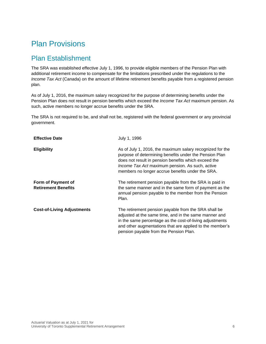## <span id="page-5-0"></span>Plan Provisions

### Plan Establishment

The SRA was established effective July 1, 1996, to provide eligible members of the Pension Plan with additional retirement income to compensate for the limitations prescribed under the regulations to the *Income Tax Act* (Canada) on the amount of lifetime retirement benefits payable from a registered pension plan.

As of July 1, 2016, the maximum salary recognized for the purpose of determining benefits under the Pension Plan does not result in pension benefits which exceed the *Income Tax Act* maximum pension. As such, active members no longer accrue benefits under the SRA.

The SRA is not required to be, and shall not be, registered with the federal government or any provincial government.

| <b>Effective Date</b>                            | July 1, 1996                                                                                                                                                                                                                                                                       |
|--------------------------------------------------|------------------------------------------------------------------------------------------------------------------------------------------------------------------------------------------------------------------------------------------------------------------------------------|
| <b>Eligibility</b>                               | As of July 1, 2016, the maximum salary recognized for the<br>purpose of determining benefits under the Pension Plan<br>does not result in pension benefits which exceed the<br>Income Tax Act maximum pension. As such, active<br>members no longer accrue benefits under the SRA. |
| Form of Payment of<br><b>Retirement Benefits</b> | The retirement pension payable from the SRA is paid in<br>the same manner and in the same form of payment as the<br>annual pension payable to the member from the Pension<br>Plan.                                                                                                 |
| <b>Cost-of-Living Adjustments</b>                | The retirement pension payable from the SRA shall be<br>adjusted at the same time, and in the same manner and<br>in the same percentage as the cost-of-living adjustments<br>and other augmentations that are applied to the member's<br>pension payable from the Pension Plan.    |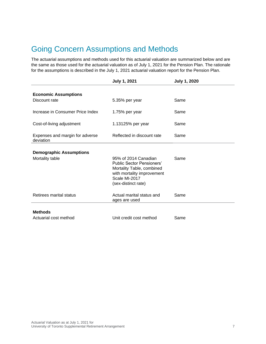## <span id="page-6-0"></span>Going Concern Assumptions and Methods

The actuarial assumptions and methods used for this actuarial valuation are summarized below and are the same as those used for the actuarial valuation as of July 1, 2021 for the Pension Plan. The rationale for the assumptions is described in the July 1, 2021 actuarial valuation report for the Pension Plan.

|                                              | <b>July 1, 2021</b>                                                                                                                                         | <b>July 1, 2020</b> |
|----------------------------------------------|-------------------------------------------------------------------------------------------------------------------------------------------------------------|---------------------|
| <b>Economic Assumptions</b>                  |                                                                                                                                                             |                     |
| Discount rate                                | 5.35% per year                                                                                                                                              | Same                |
| Increase in Consumer Price Index             | 1.75% per year                                                                                                                                              | Same                |
| Cost-of-living adjustment                    | 1.13125% per year                                                                                                                                           | Same                |
| Expenses and margin for adverse<br>deviation | Reflected in discount rate                                                                                                                                  | Same                |
| <b>Demographic Assumptions</b>               |                                                                                                                                                             |                     |
| Mortality table                              | 95% of 2014 Canadian<br><b>Public Sector Pensioners'</b><br>Mortality Table, combined<br>with mortality improvement<br>Scale MI-2017<br>(sex-distinct rate) | Same                |
| Retirees marital status                      | Actual marital status and<br>ages are used                                                                                                                  | Same                |
| <b>Methods</b>                               |                                                                                                                                                             |                     |
| Actuarial cost method                        | Unit credit cost method                                                                                                                                     | Same                |